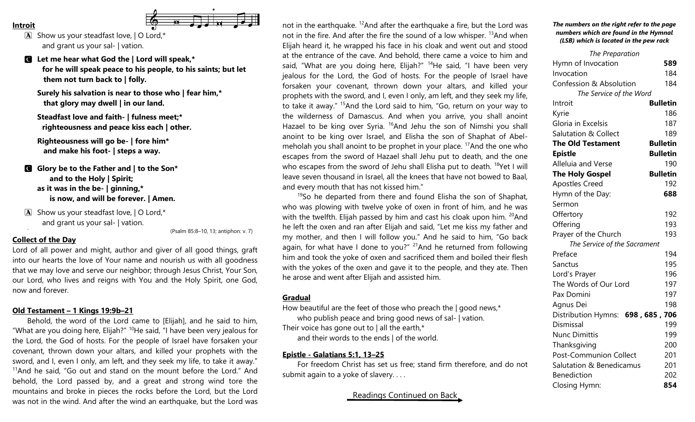- **Introit**
	-

 $\bf{A}$  Show us your steadfast love,  $\bf{I}$  O Lord,\* and grant us your sal- | vation.

C **Let me hear what God the | Lord will speak,\* for he will speak peace to his people, to his saints; but let them not turn back to | folly.**

**Surely his salvation is near to those who | fear him,\* that glory may dwell | in our land.**

**Steadfast love and faith- | fulness meet;\* righteousness and peace kiss each | other.**

**Righteousness will go be- | fore him\* and make his foot- | steps a way.**

C **Glory be to the Father and | to the Son\* and to the Holy | Spirit; as it was in the be- | ginning,\* is now, and will be forever. | Amen.**

 $\boxed{\mathbf{A}}$  Show us your steadfast love,  $\boxed{\mathbf{O}}$  Lord,\* and grant us your sal- | vation.

` (Psalm 85:8–10, 13; antiphon: v. 7)

# **Collect of the Day**

Lord of all power and might, author and giver of all good things, graft into our hearts the love of Your name and nourish us with all goodness that we may love and serve our neighbor; through Jesus Christ, Your Son, our Lord, who lives and reigns with You and the Holy Spirit, one God, now and forever.

## **Old Testament – 1 Kings 19:9b–21**

Behold, the word of the Lord came to [Elijah], and he said to him, "What are you doing here, Elijah?"  $10$ He said, "I have been very jealous for the Lord, the God of hosts. For the people of Israel have forsaken your covenant, thrown down your altars, and killed your prophets with the sword, and I, even I only, am left, and they seek my life, to take it away."  $11$ And he said, "Go out and stand on the mount before the Lord." And behold, the Lord passed by, and a great and strong wind tore the mountains and broke in pieces the rocks before the Lord, but the Lord was not in the wind. And after the wind an earthquake, but the Lord was not in the earthquake. <sup>12</sup>And after the earthquake a fire, but the Lord was not in the fire. And after the fire the sound of a low whisper.  $13$ And when Elijah heard it, he wrapped his face in his cloak and went out and stood at the entrance of the cave. And behold, there came a voice to him and said, "What are you doing here, Elijah?" <sup>14</sup>He said, "I have been very jealous for the Lord, the God of hosts. For the people of Israel have forsaken your covenant, thrown down your altars, and killed your prophets with the sword, and I, even I only, am left, and they seek my life, to take it away." <sup>15</sup>And the Lord said to him, "Go, return on your way to the wilderness of Damascus. And when you arrive, you shall anoint Hazael to be king over Syria.  $^{16}$ And Jehu the son of Nimshi you shall anoint to be king over Israel, and Elisha the son of Shaphat of Abelmeholah you shall anoint to be prophet in your place. <sup>17</sup>And the one who escapes from the sword of Hazael shall Jehu put to death, and the one who escapes from the sword of Jehu shall Elisha put to death. <sup>18</sup>Yet I will leave seven thousand in Israel, all the knees that have not bowed to Baal, and every mouth that has not kissed him."

 $19$ So he departed from there and found Elisha the son of Shaphat, who was plowing with twelve yoke of oxen in front of him, and he was with the twelfth. Elijah passed by him and cast his cloak upon him. <sup>20</sup>And he left the oxen and ran after Elijah and said, "Let me kiss my father and my mother, and then I will follow you." And he said to him, "Go back again, for what have I done to you?"  $21$ And he returned from following him and took the yoke of oxen and sacrificed them and boiled their flesh with the yokes of the oxen and gave it to the people, and they ate. Then he arose and went after Elijah and assisted him.

### **Gradual**

How beautiful are the feet of those who preach the | good news,\* who publish peace and bring good news of sal- | vation. Their voice has gone out to  $|$  all the earth,\*

and their words to the ends | of the world.

#### **Epistle - Galatians 5:1, 13–25**

For freedom Christ has set us free; stand firm therefore, and do not submit again to a yoke of slavery....

Readings Continued on Back

#### *The numbers on the right refer to the page numbers which are found in the Hymnal (LSB) which is located in the pew rack*

| The Preparation                    |                 |
|------------------------------------|-----------------|
| Hymn of Invocation                 | 589             |
| Invocation                         | 184             |
| <b>Confession &amp; Absolution</b> | 184             |
| The Service of the Word            |                 |
| Introit                            | <b>Bulletin</b> |
| Kyrie                              | 186             |
| Gloria in Excelsis                 | 187             |
| <b>Salutation &amp; Collect</b>    | 189             |
| <b>The Old Testament</b>           | <b>Bulletin</b> |
| <b>Epistle</b>                     | <b>Bulletin</b> |
| Alleluia and Verse                 | 190             |
| <b>The Holy Gospel</b>             | <b>Bulletin</b> |
| <b>Apostles Creed</b>              | 192             |
| Hymn of the Day:                   | 688             |
| Sermon                             |                 |
| Offertory                          | 192             |
| Offering                           | 193             |
| Prayer of the Church               | 193             |
| The Service of the Sacrament       |                 |
| Preface                            | 194             |
| Sanctus                            | 195             |
| Lord's Prayer                      | 196             |
| The Words of Our Lord              | 197             |
| Pax Domini                         | 197             |
| Agnus Dei                          | 198             |
| Distribution Hymns: 698, 685, 706  |                 |
| Dismissal                          | 199             |
| <b>Nunc Dimittis</b>               | 199             |
| Thanksgiving                       | 200             |
| Post-Communion Collect             | 201             |
| Salutation & Benedicamus           | 201             |
| <b>Benediction</b>                 | 202             |
| Closing Hymn:                      | 854             |